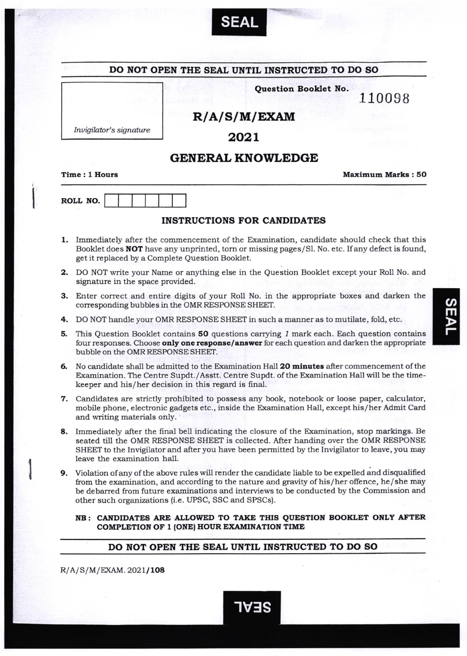

| DO NOT OPEN THE SEAL UNTIL INSTRUCTED TO DO SO |                                                                                                                                                                                                                                                                                                                                                           |                                                                                          |  |
|------------------------------------------------|-----------------------------------------------------------------------------------------------------------------------------------------------------------------------------------------------------------------------------------------------------------------------------------------------------------------------------------------------------------|------------------------------------------------------------------------------------------|--|
|                                                |                                                                                                                                                                                                                                                                                                                                                           | Question Booklet No.<br>110098                                                           |  |
|                                                | R/A/S/M/EXAM                                                                                                                                                                                                                                                                                                                                              |                                                                                          |  |
|                                                | Invigilator's signature<br>2021                                                                                                                                                                                                                                                                                                                           |                                                                                          |  |
|                                                | <b>GENERAL KNOWLEDGE</b>                                                                                                                                                                                                                                                                                                                                  |                                                                                          |  |
|                                                | Time: 1 Hours                                                                                                                                                                                                                                                                                                                                             | <b>Maximum Marks: 50</b>                                                                 |  |
|                                                | ROLL NO.                                                                                                                                                                                                                                                                                                                                                  |                                                                                          |  |
|                                                | <b>INSTRUCTIONS FOR CANDIDATES</b>                                                                                                                                                                                                                                                                                                                        |                                                                                          |  |
|                                                | 1. Immediately after the commencement of the Examination, candidate should check that this<br>Booklet does <b>NOT</b> have any unprinted, torn or missing pages/Sl. No. etc. If any defect is found,<br>get it replaced by a Complete Question Booklet.                                                                                                   |                                                                                          |  |
| 2.                                             | signature in the space provided.                                                                                                                                                                                                                                                                                                                          | DO NOT write your Name or anything else in the Question Booklet except your Roll No. and |  |
|                                                | 3. Enter correct and entire digits of your Roll No. in the appropriate boxes and darken the<br>corresponding bubbles in the OMR RESPONSE SHEET.                                                                                                                                                                                                           |                                                                                          |  |
| 4.                                             |                                                                                                                                                                                                                                                                                                                                                           | DO NOT handle your OMR RESPONSE SHEET in such a manner as to mutilate, fold, etc.        |  |
| 5.                                             | This Question Booklet contains 50 questions carrying 1 mark each. Each question contains<br>four responses. Choose only one response/answer for each question and darken the appropriate<br>bubble on the OMR RESPONSE SHEET.                                                                                                                             |                                                                                          |  |
| б.                                             | No candidate shall be admitted to the Examination Hall 20 minutes after commencement of the<br>Examination. The Centre Supdt./Asstt. Centre Supdt. of the Examination Hall will be the time-<br>keeper and his/her decision in this regard is final.                                                                                                      |                                                                                          |  |
|                                                | 7. Candidates are strictly prohibited to possess any book, notebook or loose paper, calculator,<br>mobile phone, electronic gadgets etc., inside the Examination Hall, except his/her Admit Card<br>and writing materials only.                                                                                                                           |                                                                                          |  |
| 8.                                             | Immediately after the final bell indicating the closure of the Examination, stop markings. Be<br>seated till the OMR RESPONSE SHEET is collected. After handing over the OMR RESPONSE<br>SHEET to the Invigilator and after you have been permitted by the Invigilator to leave, you may<br>leave the examination hall.                                   |                                                                                          |  |
| 9.                                             | Violation of any of the above rules will render the candidate liable to be expelled and disqualified<br>from the examination, and according to the nature and gravity of his/her offence, he/she may<br>be debarred from future examinations and interviews to be conducted by the Commission and<br>other such organizations (i.e. UPSC, SSC and SPSCs). |                                                                                          |  |

## DO NOT OPEN THE SEAL UNTIL INSTRUCTED TO DO SO

**1ABS** 

 $R/A/S/M/EXAM. 2021/108$ 

 $\overline{a}$